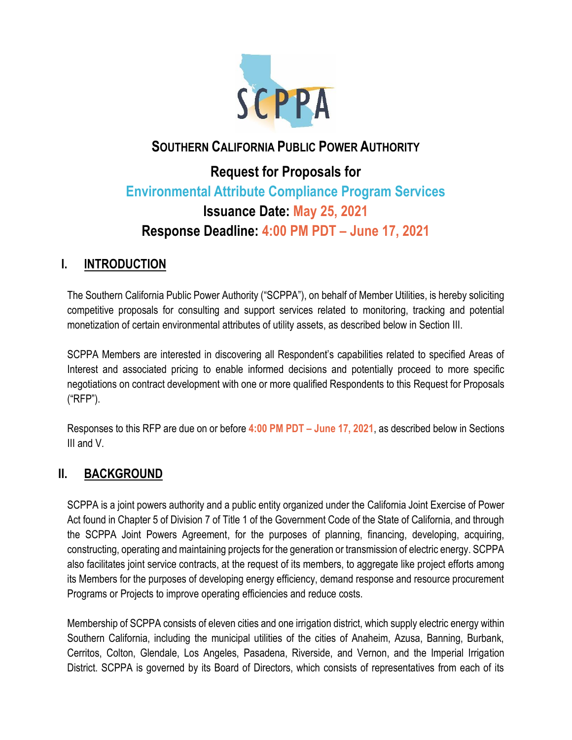

# **SOUTHERN CALIFORNIA PUBLIC POWER AUTHORITY**

# **Request for Proposals for Environmental Attribute Compliance Program Services Issuance Date: May 25, 2021 Response Deadline: 4:00 PM PDT – June 17, 2021**

# **I. INTRODUCTION**

The Southern California Public Power Authority ("SCPPA"), on behalf of Member Utilities, is hereby soliciting competitive proposals for consulting and support services related to monitoring, tracking and potential monetization of certain environmental attributes of utility assets, as described below in Section III.

SCPPA Members are interested in discovering all Respondent's capabilities related to specified Areas of Interest and associated pricing to enable informed decisions and potentially proceed to more specific negotiations on contract development with one or more qualified Respondents to this Request for Proposals ("RFP").

Responses to this RFP are due on or before **4:00 PM PDT – June 17, 2021**, as described below in Sections III and V.

# **II. BACKGROUND**

SCPPA is a joint powers authority and a public entity organized under the California Joint Exercise of Power Act found in Chapter 5 of Division 7 of Title 1 of the Government Code of the State of California, and through the SCPPA Joint Powers Agreement, for the purposes of planning, financing, developing, acquiring, constructing, operating and maintaining projects for the generation or transmission of electric energy. SCPPA also facilitates joint service contracts, at the request of its members, to aggregate like project efforts among its Members for the purposes of developing energy efficiency, demand response and resource procurement Programs or Projects to improve operating efficiencies and reduce costs.

Membership of SCPPA consists of eleven cities and one irrigation district, which supply electric energy within Southern California, including the municipal utilities of the cities of Anaheim, Azusa, Banning, Burbank, Cerritos, Colton, Glendale, Los Angeles, Pasadena, Riverside, and Vernon, and the Imperial Irrigation District. SCPPA is governed by its Board of Directors, which consists of representatives from each of its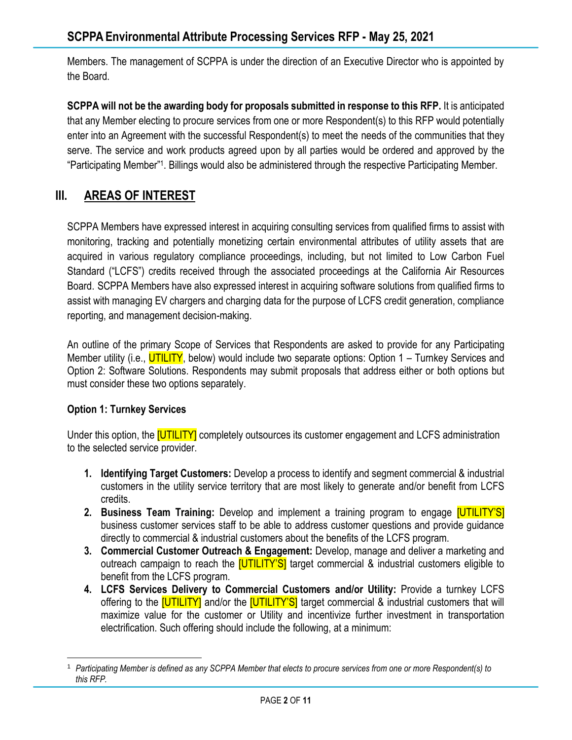Members. The management of SCPPA is under the direction of an Executive Director who is appointed by the Board.

**SCPPA will not be the awarding body for proposals submitted in response to this RFP.** It is anticipated that any Member electing to procure services from one or more Respondent(s) to this RFP would potentially enter into an Agreement with the successful Respondent(s) to meet the needs of the communities that they serve. The service and work products agreed upon by all parties would be ordered and approved by the "Participating Member" 1 . Billings would also be administered through the respective Participating Member.

# **III. AREAS OF INTEREST**

SCPPA Members have expressed interest in acquiring consulting services from qualified firms to assist with monitoring, tracking and potentially monetizing certain environmental attributes of utility assets that are acquired in various regulatory compliance proceedings, including, but not limited to Low Carbon Fuel Standard ("LCFS") credits received through the associated proceedings at the California Air Resources Board. SCPPA Members have also expressed interest in acquiring software solutions from qualified firms to assist with managing EV chargers and charging data for the purpose of LCFS credit generation, compliance reporting, and management decision-making.

An outline of the primary Scope of Services that Respondents are asked to provide for any Participating Member utility (i.e., UTILITY, below) would include two separate options: Option 1 – Turnkey Services and Option 2: Software Solutions. Respondents may submit proposals that address either or both options but must consider these two options separately.

#### **Option 1: Turnkey Services**

Under this option, the **[UTILITY]** completely outsources its customer engagement and LCFS administration to the selected service provider.

- **1. Identifying Target Customers:** Develop a process to identify and segment commercial & industrial customers in the utility service territory that are most likely to generate and/or benefit from LCFS credits.
- **2. Business Team Training:** Develop and implement a training program to engage [UTILITY'S] business customer services staff to be able to address customer questions and provide guidance directly to commercial & industrial customers about the benefits of the LCFS program.
- **3. Commercial Customer Outreach & Engagement:** Develop, manage and deliver a marketing and outreach campaign to reach the **[UTILITY'S]** target commercial & industrial customers eligible to benefit from the LCFS program.
- **4. LCFS Services Delivery to Commercial Customers and/or Utility:** Provide a turnkey LCFS offering to the **[UTILITY]** and/or the **[UTILITY'S]** target commercial & industrial customers that will maximize value for the customer or Utility and incentivize further investment in transportation electrification. Such offering should include the following, at a minimum:

<sup>1</sup> *Participating Member is defined as any SCPPA Member that elects to procure services from one or more Respondent(s) to this RFP.*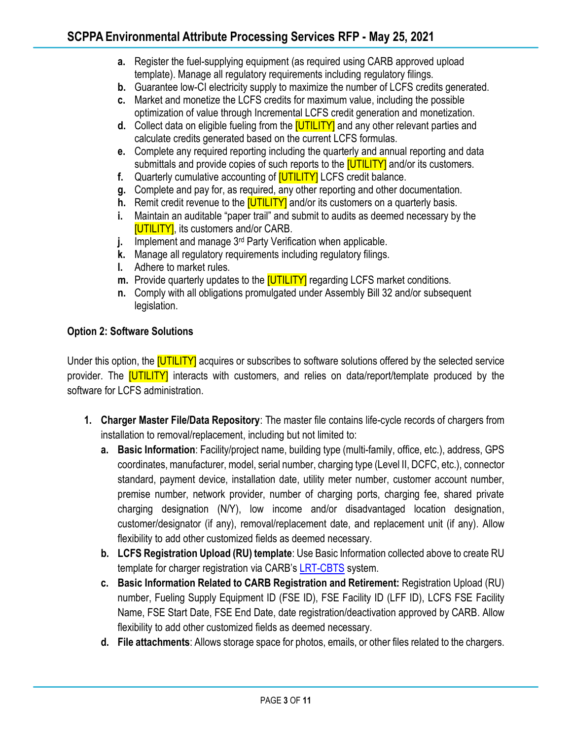- **a.** Register the fuel-supplying equipment (as required using CARB approved upload template). Manage all regulatory requirements including regulatory filings.
- **b.** Guarantee low-CI electricity supply to maximize the number of LCFS credits generated.
- **c.** Market and monetize the LCFS credits for maximum value, including the possible optimization of value through Incremental LCFS credit generation and monetization.
- **d.** Collect data on eligible fueling from the [UTILITY] and any other relevant parties and calculate credits generated based on the current LCFS formulas.
- **e.** Complete any required reporting including the quarterly and annual reporting and data submittals and provide copies of such reports to the **[UTILITY]** and/or its customers.
- **f.** Quarterly cumulative accounting of [UTILITY] LCFS credit balance.
- **g.** Complete and pay for, as required, any other reporting and other documentation.
- **h.** Remit credit revenue to the **[UTILITY]** and/or its customers on a quarterly basis.
- **i.** Maintain an auditable "paper trail" and submit to audits as deemed necessary by the **[UTILITY]**, its customers and/or CARB.
- **j.** Implement and manage 3<sup>rd</sup> Party Verification when applicable.
- **k.** Manage all regulatory requirements including regulatory filings.
- **l.** Adhere to market rules.
- **m.** Provide quarterly updates to the **[UTILITY]** regarding LCFS market conditions.
- **n.** Comply with all obligations promulgated under Assembly Bill 32 and/or subsequent legislation.

#### **Option 2: Software Solutions**

Under this option, the **[UTILITY]** acquires or subscribes to software solutions offered by the selected service provider. The **[UTILITY]** interacts with customers, and relies on data/report/template produced by the software for LCFS administration.

- **1. Charger Master File/Data Repository**: The master file contains life-cycle records of chargers from installation to removal/replacement, including but not limited to:
	- **a. Basic Information**: Facility/project name, building type (multi-family, office, etc.), address, GPS coordinates, manufacturer, model, serial number, charging type (Level II, DCFC, etc.), connector standard, payment device, installation date, utility meter number, customer account number, premise number, network provider, number of charging ports, charging fee, shared private charging designation (N/Y), low income and/or disadvantaged location designation, customer/designator (if any), removal/replacement date, and replacement unit (if any). Allow flexibility to add other customized fields as deemed necessary.
	- **b. LCFS Registration Upload (RU) template**: Use Basic Information collected above to create RU template for charger registration via CARB's [LRT-CBTS](https://ssl.arb.ca.gov/LCFSRT/Login.aspx) system.
	- **c. Basic Information Related to CARB Registration and Retirement:** Registration Upload (RU) number, Fueling Supply Equipment ID (FSE ID), FSE Facility ID (LFF ID), LCFS FSE Facility Name, FSE Start Date, FSE End Date, date registration/deactivation approved by CARB. Allow flexibility to add other customized fields as deemed necessary.
	- **d. File attachments**: Allows storage space for photos, emails, or other files related to the chargers.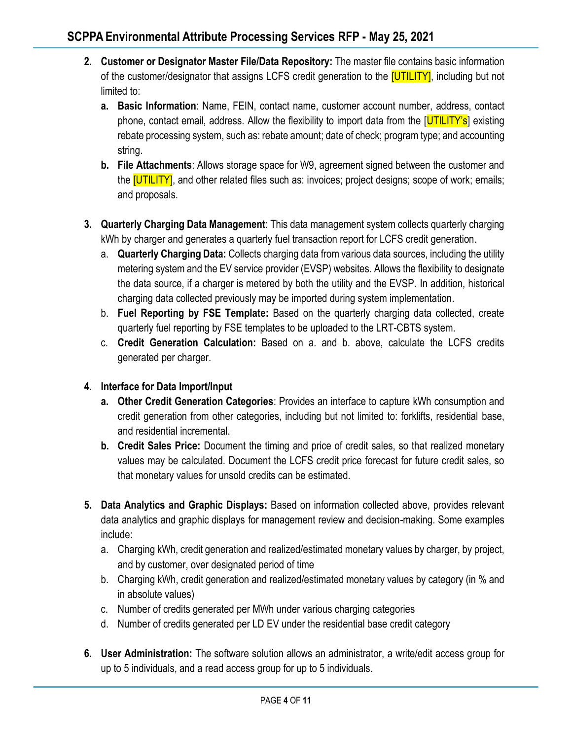- **2. Customer or Designator Master File/Data Repository:** The master file contains basic information of the customer/designator that assigns LCFS credit generation to the **[UTILITY]**, including but not limited to:
	- **a. Basic Information**: Name, FEIN, contact name, customer account number, address, contact phone, contact email, address. Allow the flexibility to import data from the [UTILITY's] existing rebate processing system, such as: rebate amount; date of check; program type; and accounting string.
	- **b. File Attachments**: Allows storage space for W9, agreement signed between the customer and the **[UTILITY]**, and other related files such as: invoices; project designs; scope of work; emails; and proposals.
- **3. Quarterly Charging Data Management**: This data management system collects quarterly charging kWh by charger and generates a quarterly fuel transaction report for LCFS credit generation.
	- a. **Quarterly Charging Data:** Collects charging data from various data sources, including the utility metering system and the EV service provider (EVSP) websites. Allows the flexibility to designate the data source, if a charger is metered by both the utility and the EVSP. In addition, historical charging data collected previously may be imported during system implementation.
	- b. **Fuel Reporting by FSE Template:** Based on the quarterly charging data collected, create quarterly fuel reporting by FSE templates to be uploaded to the LRT-CBTS system.
	- c. **Credit Generation Calculation:** Based on a. and b. above, calculate the LCFS credits generated per charger.

## **4. Interface for Data Import/Input**

- **a. Other Credit Generation Categories**: Provides an interface to capture kWh consumption and credit generation from other categories, including but not limited to: forklifts, residential base, and residential incremental.
- **b. Credit Sales Price:** Document the timing and price of credit sales, so that realized monetary values may be calculated. Document the LCFS credit price forecast for future credit sales, so that monetary values for unsold credits can be estimated.
- **5. Data Analytics and Graphic Displays:** Based on information collected above, provides relevant data analytics and graphic displays for management review and decision-making. Some examples include:
	- a. Charging kWh, credit generation and realized/estimated monetary values by charger, by project, and by customer, over designated period of time
	- b. Charging kWh, credit generation and realized/estimated monetary values by category (in % and in absolute values)
	- c. Number of credits generated per MWh under various charging categories
	- d. Number of credits generated per LD EV under the residential base credit category
- **6. User Administration:** The software solution allows an administrator, a write/edit access group for up to 5 individuals, and a read access group for up to 5 individuals.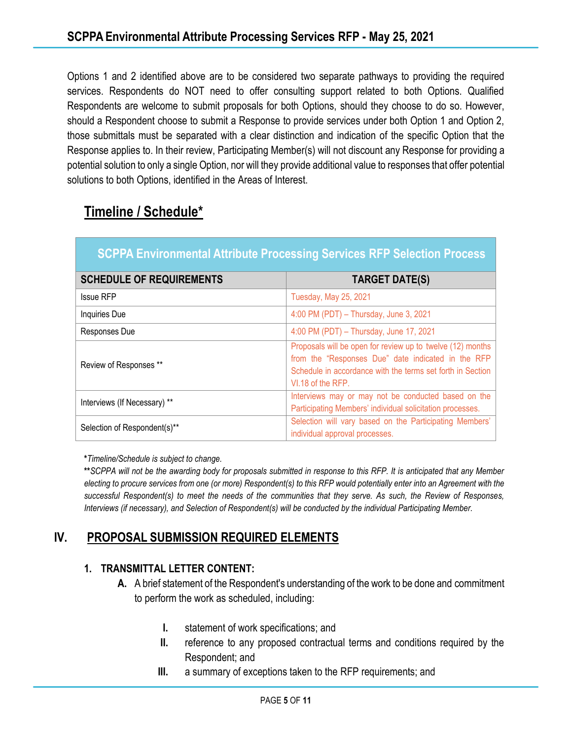Options 1 and 2 identified above are to be considered two separate pathways to providing the required services. Respondents do NOT need to offer consulting support related to both Options. Qualified Respondents are welcome to submit proposals for both Options, should they choose to do so. However, should a Respondent choose to submit a Response to provide services under both Option 1 and Option 2, those submittals must be separated with a clear distinction and indication of the specific Option that the Response applies to. In their review, Participating Member(s) will not discount any Response for providing a potential solution to only a single Option, nor will they provide additional value to responses that offer potential solutions to both Options, identified in the Areas of Interest.

# **Timeline / Schedule\***

| <b>SCPPA Environmental Attribute Processing Services RFP Selection Process</b> |                                                                                                                                                                                                     |
|--------------------------------------------------------------------------------|-----------------------------------------------------------------------------------------------------------------------------------------------------------------------------------------------------|
| <b>SCHEDULE OF REQUIREMENTS</b>                                                | <b>TARGET DATE(S)</b>                                                                                                                                                                               |
| <b>Issue RFP</b>                                                               | <b>Tuesday, May 25, 2021</b>                                                                                                                                                                        |
| Inquiries Due                                                                  | 4:00 PM (PDT) - Thursday, June 3, 2021                                                                                                                                                              |
| Responses Due                                                                  | 4:00 PM (PDT) - Thursday, June 17, 2021                                                                                                                                                             |
| Review of Responses **                                                         | Proposals will be open for review up to twelve (12) months<br>from the "Responses Due" date indicated in the RFP<br>Schedule in accordance with the terms set forth in Section<br>VI.18 of the RFP. |
| Interviews (If Necessary) **                                                   | Interviews may or may not be conducted based on the<br>Participating Members' individual solicitation processes.                                                                                    |
| Selection of Respondent(s)**                                                   | Selection will vary based on the Participating Members'<br>individual approval processes.                                                                                                           |

**\****Timeline/Schedule is subject to change.*

**\*\****SCPPA will not be the awarding body for proposals submitted in response to this RFP. It is anticipated that any Member electing to procure services from one (or more) Respondent(s) to this RFP would potentially enter into an Agreement with the successful Respondent(s) to meet the needs of the communities that they serve. As such, the Review of Responses, Interviews (if necessary), and Selection of Respondent(s) will be conducted by the individual Participating Member.*

# **IV. PROPOSAL SUBMISSION REQUIRED ELEMENTS**

## **1. TRANSMITTAL LETTER CONTENT:**

- **A.** A brief statement of the Respondent's understanding of the work to be done and commitment to perform the work as scheduled, including:
	- **I.** statement of work specifications; and
	- **II.** reference to any proposed contractual terms and conditions required by the Respondent; and
	- **III.** a summary of exceptions taken to the RFP requirements; and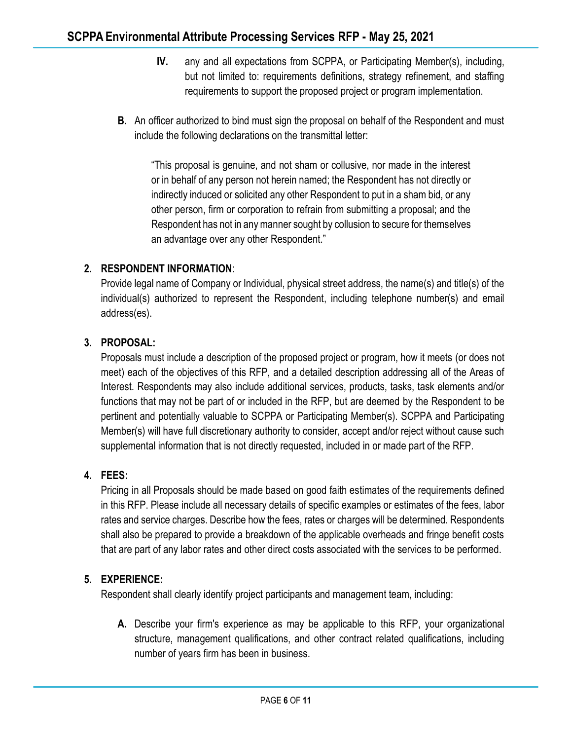- **IV.** any and all expectations from SCPPA, or Participating Member(s), including, but not limited to: requirements definitions, strategy refinement, and staffing requirements to support the proposed project or program implementation.
- **B.** An officer authorized to bind must sign the proposal on behalf of the Respondent and must include the following declarations on the transmittal letter:

"This proposal is genuine, and not sham or collusive, nor made in the interest or in behalf of any person not herein named; the Respondent has not directly or indirectly induced or solicited any other Respondent to put in a sham bid, or any other person, firm or corporation to refrain from submitting a proposal; and the Respondent has not in any manner sought by collusion to secure for themselves an advantage over any other Respondent."

## **2. RESPONDENT INFORMATION**:

Provide legal name of Company or Individual, physical street address, the name(s) and title(s) of the individual(s) authorized to represent the Respondent, including telephone number(s) and email address(es).

## **3. PROPOSAL:**

Proposals must include a description of the proposed project or program, how it meets (or does not meet) each of the objectives of this RFP, and a detailed description addressing all of the Areas of Interest. Respondents may also include additional services, products, tasks, task elements and/or functions that may not be part of or included in the RFP, but are deemed by the Respondent to be pertinent and potentially valuable to SCPPA or Participating Member(s). SCPPA and Participating Member(s) will have full discretionary authority to consider, accept and/or reject without cause such supplemental information that is not directly requested, included in or made part of the RFP.

## **4. FEES:**

Pricing in all Proposals should be made based on good faith estimates of the requirements defined in this RFP. Please include all necessary details of specific examples or estimates of the fees, labor rates and service charges. Describe how the fees, rates or charges will be determined. Respondents shall also be prepared to provide a breakdown of the applicable overheads and fringe benefit costs that are part of any labor rates and other direct costs associated with the services to be performed.

## **5. EXPERIENCE:**

Respondent shall clearly identify project participants and management team, including:

**A.** Describe your firm's experience as may be applicable to this RFP, your organizational structure, management qualifications, and other contract related qualifications, including number of years firm has been in business.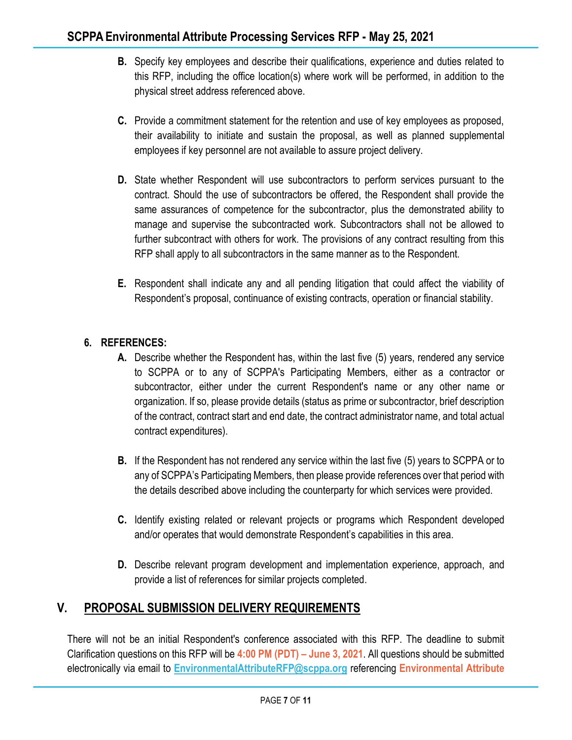- **B.** Specify key employees and describe their qualifications, experience and duties related to this RFP, including the office location(s) where work will be performed, in addition to the physical street address referenced above.
- **C.** Provide a commitment statement for the retention and use of key employees as proposed, their availability to initiate and sustain the proposal, as well as planned supplemental employees if key personnel are not available to assure project delivery.
- **D.** State whether Respondent will use subcontractors to perform services pursuant to the contract. Should the use of subcontractors be offered, the Respondent shall provide the same assurances of competence for the subcontractor, plus the demonstrated ability to manage and supervise the subcontracted work. Subcontractors shall not be allowed to further subcontract with others for work. The provisions of any contract resulting from this RFP shall apply to all subcontractors in the same manner as to the Respondent.
- **E.** Respondent shall indicate any and all pending litigation that could affect the viability of Respondent's proposal, continuance of existing contracts, operation or financial stability.

## **6. REFERENCES:**

- **A.** Describe whether the Respondent has, within the last five (5) years, rendered any service to SCPPA or to any of SCPPA's Participating Members, either as a contractor or subcontractor, either under the current Respondent's name or any other name or organization. If so, please provide details (status as prime or subcontractor, brief description of the contract, contract start and end date, the contract administrator name, and total actual contract expenditures).
- **B.** If the Respondent has not rendered any service within the last five (5) years to SCPPA or to any of SCPPA's Participating Members, then please provide references over that period with the details described above including the counterparty for which services were provided.
- **C.** Identify existing related or relevant projects or programs which Respondent developed and/or operates that would demonstrate Respondent's capabilities in this area.
- **D.** Describe relevant program development and implementation experience, approach, and provide a list of references for similar projects completed.

# **V. PROPOSAL SUBMISSION DELIVERY REQUIREMENTS**

There will not be an initial Respondent's conference associated with this RFP. The deadline to submit Clarification questions on this RFP will be **4:00 PM (PDT) – June 3, 2021**. All questions should be submitted electronically via email to **[EnvironmentalAttributeRFP@scppa.org](mailto:EnvironmentalAttributeRFP@scppa.org)** referencing **Environmental Attribute**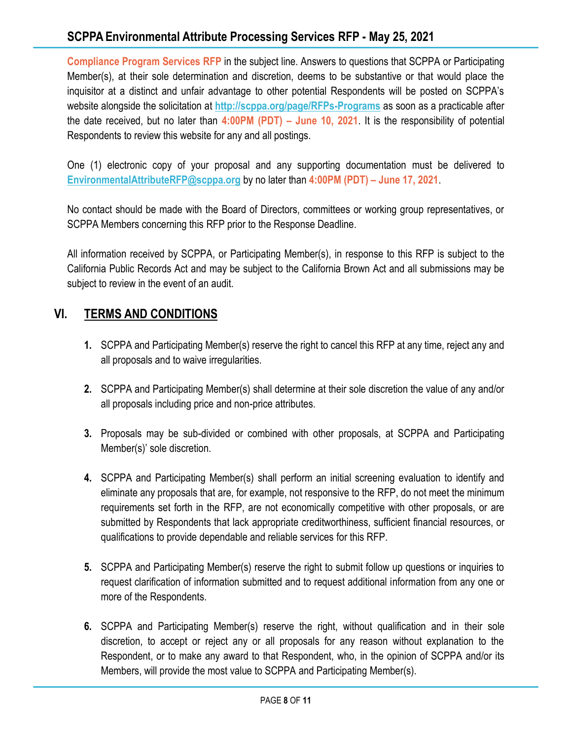# **SCPPA Environmental Attribute Processing Services RFP - May 25, 2021**

**Compliance Program Services RFP** in the subject line. Answers to questions that SCPPA or Participating Member(s), at their sole determination and discretion, deems to be substantive or that would place the inquisitor at a distinct and unfair advantage to other potential Respondents will be posted on SCPPA's website alongside the solicitation at **<http://scppa.org/page/RFPs-Programs>** as soon as a practicable after the date received, but no later than **4:00PM (PDT) – June 10, 2021**. It is the responsibility of potential Respondents to review this website for any and all postings.

One (1) electronic copy of your proposal and any supporting documentation must be delivered to **[EnvironmentalAttributeRFP@scppa.org](mailto:EnvironmentalAttributeRFP@scppa.org)** by no later than **4:00PM (PDT) – June 17, 2021**.

No contact should be made with the Board of Directors, committees or working group representatives, or SCPPA Members concerning this RFP prior to the Response Deadline.

All information received by SCPPA, or Participating Member(s), in response to this RFP is subject to the California Public Records Act and may be subject to the California Brown Act and all submissions may be subject to review in the event of an audit.

# **VI. TERMS AND CONDITIONS**

- **1.** SCPPA and Participating Member(s) reserve the right to cancel this RFP at any time, reject any and all proposals and to waive irregularities.
- **2.** SCPPA and Participating Member(s) shall determine at their sole discretion the value of any and/or all proposals including price and non-price attributes.
- **3.** Proposals may be sub-divided or combined with other proposals, at SCPPA and Participating Member(s)' sole discretion.
- **4.** SCPPA and Participating Member(s) shall perform an initial screening evaluation to identify and eliminate any proposals that are, for example, not responsive to the RFP, do not meet the minimum requirements set forth in the RFP, are not economically competitive with other proposals, or are submitted by Respondents that lack appropriate creditworthiness, sufficient financial resources, or qualifications to provide dependable and reliable services for this RFP.
- **5.** SCPPA and Participating Member(s) reserve the right to submit follow up questions or inquiries to request clarification of information submitted and to request additional information from any one or more of the Respondents.
- **6.** SCPPA and Participating Member(s) reserve the right, without qualification and in their sole discretion, to accept or reject any or all proposals for any reason without explanation to the Respondent, or to make any award to that Respondent, who, in the opinion of SCPPA and/or its Members, will provide the most value to SCPPA and Participating Member(s).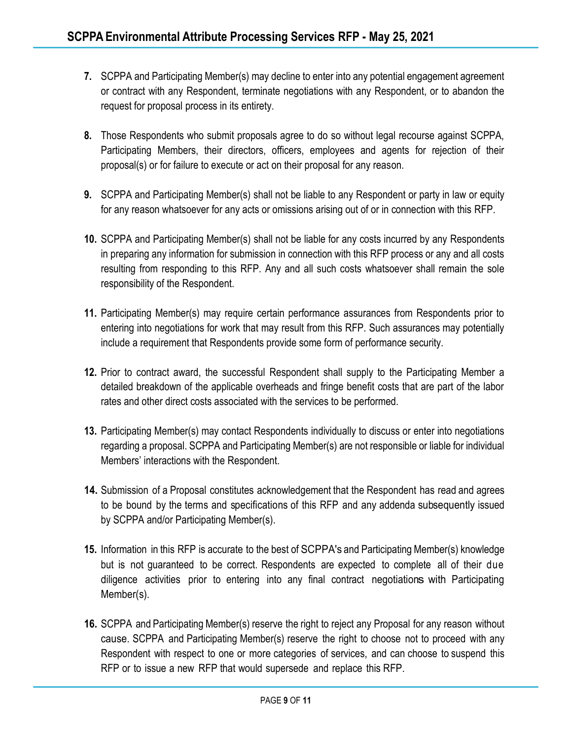- **7.** SCPPA and Participating Member(s) may decline to enter into any potential engagement agreement or contract with any Respondent, terminate negotiations with any Respondent, or to abandon the request for proposal process in its entirety.
- **8.** Those Respondents who submit proposals agree to do so without legal recourse against SCPPA, Participating Members, their directors, officers, employees and agents for rejection of their proposal(s) or for failure to execute or act on their proposal for any reason.
- **9.** SCPPA and Participating Member(s) shall not be liable to any Respondent or party in law or equity for any reason whatsoever for any acts or omissions arising out of or in connection with this RFP.
- **10.** SCPPA and Participating Member(s) shall not be liable for any costs incurred by any Respondents in preparing any information for submission in connection with this RFP process or any and all costs resulting from responding to this RFP. Any and all such costs whatsoever shall remain the sole responsibility of the Respondent.
- **11.** Participating Member(s) may require certain performance assurances from Respondents prior to entering into negotiations for work that may result from this RFP. Such assurances may potentially include a requirement that Respondents provide some form of performance security.
- **12.** Prior to contract award, the successful Respondent shall supply to the Participating Member a detailed breakdown of the applicable overheads and fringe benefit costs that are part of the labor rates and other direct costs associated with the services to be performed.
- **13.** Participating Member(s) may contact Respondents individually to discuss or enter into negotiations regarding a proposal. SCPPA and Participating Member(s) are not responsible or liable for individual Members' interactions with the Respondent.
- **14.** Submission of a Proposal constitutes acknowledgement that the Respondent has read and agrees to be bound by the terms and specifications of this RFP and any addenda subsequently issued by SCPPA and/or Participating Member(s).
- **15.** Information in this RFP is accurate to the best of SCPPA's and Participating Member(s) knowledge but is not guaranteed to be correct. Respondents are expected to complete all of their due diligence activities prior to entering into any final contract negotiations with Participating Member(s).
- **16.** SCPPA and Participating Member(s) reserve the right to reject any Proposal for any reason without cause. SCPPA and Participating Member(s) reserve the right to choose not to proceed with any Respondent with respect to one or more categories of services, and can choose to suspend this RFP or to issue a new RFP that would supersede and replace this RFP.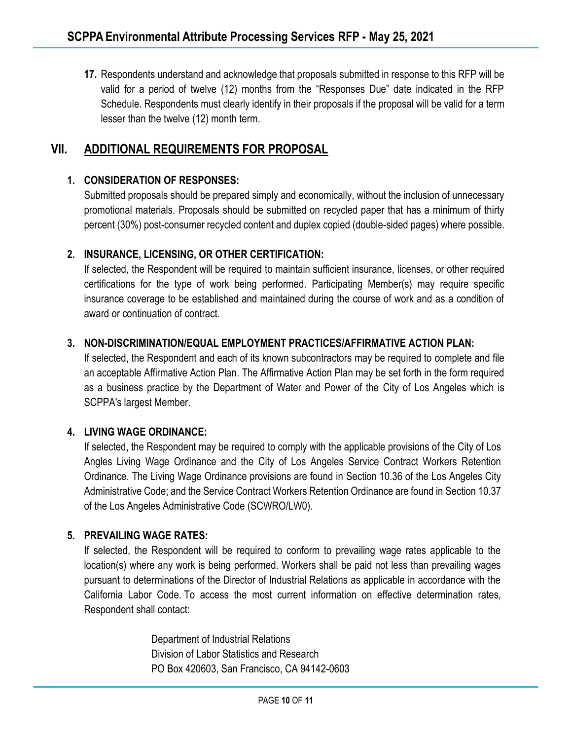**17.** Respondents understand and acknowledge that proposals submitted in response to this RFP will be valid for a period of twelve (12) months from the "Responses Due" date indicated in the RFP Schedule. Respondents must clearly identify in their proposals if the proposal will be valid for a term lesser than the twelve (12) month term.

# **VII. ADDITIONAL REQUIREMENTS FOR PROPOSAL**

#### **1. CONSIDERATION OF RESPONSES:**

Submitted proposals should be prepared simply and economically, without the inclusion of unnecessary promotional materials. Proposals should be submitted on recycled paper that has a minimum of thirty percent (30%) post-consumer recycled content and duplex copied (double-sided pages) where possible.

#### **2. INSURANCE, LICENSING, OR OTHER CERTIFICATION:**

If selected, the Respondent will be required to maintain sufficient insurance, licenses, or other required certifications for the type of work being performed. Participating Member(s) may require specific insurance coverage to be established and maintained during the course of work and as a condition of award or continuation of contract.

#### **3. NON-DISCRIMINATION/EQUAL EMPLOYMENT PRACTICES/AFFIRMATIVE ACTION PLAN:**

If selected, the Respondent and each of its known subcontractors may be required to complete and file an acceptable Affirmative Action Plan. The Affirmative Action Plan may be set forth in the form required as a business practice by the Department of Water and Power of the City of Los Angeles which is SCPPA's largest Member.

#### **4. LIVING WAGE ORDINANCE:**

If selected, the Respondent may be required to comply with the applicable provisions of the City of Los Angles Living Wage Ordinance and the City of Los Angeles Service Contract Workers Retention Ordinance. The Living Wage Ordinance provisions are found in Section 10.36 of the Los Angeles City Administrative Code; and the Service Contract Workers Retention Ordinance are found in Section 10.37 of the Los Angeles Administrative Code (SCWRO/LW0).

#### **5. PREVAILING WAGE RATES:**

If selected, the Respondent will be required to conform to prevailing wage rates applicable to the location(s) where any work is being performed. Workers shall be paid not less than prevailing wages pursuant to determinations of the Director of Industrial Relations as applicable in accordance with the California Labor Code. To access the most current information on effective determination rates, Respondent shall contact:

> Department of Industrial Relations Division of Labor Statistics and Research PO Box 420603, San Francisco, CA 94142-0603